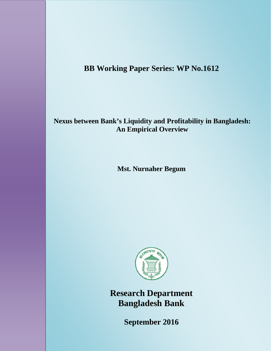# **BB Working Paper Series: WP No.1612**

## **Nexus between Bank's Liquidity and Profitability in Bangladesh: An Empirical Overview**

**Mst. Nurnaher Begum** 



**Research Department Bangladesh Bank** 

0 **September 2016**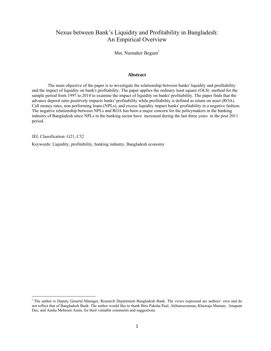## Nexus between Bank's Liquidity and Profitability in Bangladesh: An Empirical Overview

Mst. Nurnaher Begum<sup>1</sup>

#### **Abstract**

 The main objective of the paper is to investigate the relationship between banks' liquidity and profitability and the impact of liquidity on bank's profitability. The paper applies the ordinary least square (OLS) method for the sample period from 1997 to 2014 to examine the impact of liquidity on banks' profitability. The paper finds that the advance deposit ratio positively impacts banks' profitability while profitability is defined as return on asset (ROA). Call money rates, non performing loans (NPLs), and excess liquidity impact banks' profitability in a negative fashion. The negative relationship between NPLs and ROA has been a major concern for the policymakers in the banking industry of Bangladesh since NPLs in the banking sector have increased during the last three years in the post 2011 period.

JEL Classification: G21, C32

 $\overline{\phantom{a}}$ 

Keywords: Liquidity, profitability, banking industry, Bangladesh economy

<sup>&</sup>lt;sup>1</sup> The author is Deputy General Manager, Research Department Bangladesh Bank. The views expressed are authors' own and do not reflect that of Bangladesh Bank. The author would like to thank Biru Paksha Paul, Akhtaruzzaman, Khawaja Mamun, Anupam Das, and Aasha Mehreen Amin, for their valuable comments and suggestions.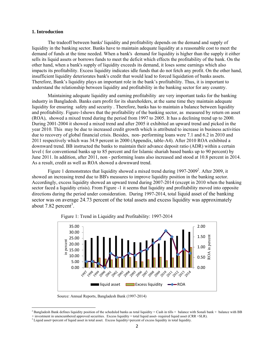### **1. Introduction**

 $\overline{\phantom{a}}$ 

 The tradeoff between banks' liquidity and profitability depends on the demand and supply of liquidity in the banking sector. Banks have to maintain adequate liquidity at a reasonable cost to meet the demand of funds at the time needed. When a bank's demand for liquidity is higher than the supply it either sells its liquid assets or borrows funds to meet the deficit which effects the profitability of the bank. On the other hand, when a bank's supply of liquidity exceeds its demand, it loses some earnings which also impacts its profitability. Excess liquidity indicates idle funds that do not fetch any profit. On the other hand, insufficient liquidity deteriorates bank's credit that would lead to forced liquidation of banks assets. Therefore, Bank's liquidity plays an important role in the bank's profitability. Thus, it is important to understand the relationship between liquidity and profitability in the banking sector for any country.

 Maintaining adequate liquidity and earning profitability are very important tasks for the banking industry in Bangladesh. Banks earn profit for its shareholders, at the same time they maintain adequate liquidity for ensuring safety and security . Therefore, banks has to maintain a balance between liquidity and profitability. Figure-1shows that the profitability of the banking sector, as measured by return on asset (ROA), showed a mixed trend during the period from 1997 to 2005. It has a declining trend up to 2000. During 2001-2004 it showed a mixed trend and after 2005 it exhibited an upward trend and picked in the year 2010. This may be due to increased credit growth which is attributed to increase in business activities due to recovery of global financial crisis. Besides, non- performing loans were 7.1 and 6.2 in 2010 and 2011 respectively which was 34.9 percent in 2000 (Appendix, table-A4). After 2010 ROA exhibited a downward trend. BB instructed the banks to maintain their advance deposit ratio (ADR) within a certain level ( for conventional banks up to 85 percent and for Islamic shariah based banks up to 90 percent) by June 2011. In addition, after 2011, non - performing loans also increased and stood at 10.8 percent in 2014. As a result, credit as well as ROA showed a downward trend.

Figure 1 demonstrates that liquidity showed a mixed trend during  $1997-2009^2$ . After 2009, it showed an increasing trend due to BB's measures to improve liquidity position in the banking sector. Accordingly, excess liquidity showed an upward trend during 2007-2014 (except in 2010 when the banking sector faced a liquidity crisis). From Figure -1 it seems that liquidity and profitability moved into opposite directions during the period under consideration. During 1997-2014, total liquid asset of the banking sector was on average 24.73 percent of the total assets and excess liquidity was approximately about 7.82 percent<sup>3</sup>.



Figure 1: Trend in Liquidity and Profitability: 1997-2014

Source: Annual Reports, Bangladesh Bank (1997-2014)

<sup>&</sup>lt;sup>2</sup> Bangladesh Bank defines liquidity position of the scheduled banks as total liquidity = Cash in tills + balance with Sonali bank + balance with BB

<sup>+</sup> investment in unencumbered approved securities. Excess liquidity = total liquid asset-required liquid asset (CRR +SLR).<br><sup>3</sup> Liquid asset=percent of liquid asset in total asset. Excess liquidity=percent of excess liquidit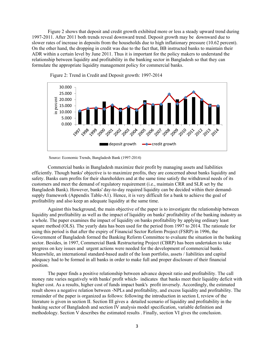Figure 2 shows that deposit and credit growth exhibited more or less a steady upward trend during 1997-2011. After 2011 both trends reveal downward trend. Deposit growth may be downward due to slower rates of increase in deposits from the households due to high inflationary pressure (10.62 percent). On the other hand, the dropping in credit was due to the fact that, BB instructed banks to maintain their ADR within a certain level by June 2011. Thus it is important for the policy makers to understand the relationship between liquidity and profitability in the banking sector in Bangladesh so that they can formulate the appropriate liquidity management policy for commercial banks.





 Commercial banks in Bangladesh maximize their profit by managing assets and liabilities efficiently. Though banks' objective is to maximize profits, they are concerned about banks liquidity and safety. Banks earn profits for their shareholders and at the same time satisfy the withdrawal needs of its customers and meet the demand of regulatory requirement (i.e., maintain CRR and SLR set by the Bangladesh Bank). However, banks' day-to-day required liquidity can be decided within their demandsupply framework (Appendix Table-A1). Hence, it is very difficult for a bank to achieve the goal of profitability and also keep an adequate liquidity at the same time.

 Against this background, the main objective of the paper is to investigate the relationship between liquidity and profitability as well as the impact of liquidity on banks' profitability of the banking industry as a whole. The paper examines the impact of liquidity on banks profitability by applying ordinary least square method (OLS). The yearly data has been used for the period from 1997 to 2014. The rationale for using this period is that after the expiry of Financial Sector Reform Project (FSRP) in 1996, the Government of Bangladesh formed the Banking Reform Committee to evaluate the situation in the banking sector. Besides, in 1997, Commercial Bank Restructuring Project (CBRP) has been undertaken to take progress on key issues and urgent actions were needed for the development of commercial banks. Meanwhile, an international standard-based audit of the loan portfolio, assets / liabilities and capital adequacy had to be formed in all banks in order to make full and proper disclosure of their financial position.

 The paper finds a positive relationship between advance deposit ratio and profitability. The call money rate varies negatively with banks' profit which- indicates that banks meet their liquidity deficit with higher cost. As a results, higher cost of funds impact bank's profit inversely. Accordingly, the estimated result shows a negative relation between -NPLs and profitability, and excess liquidity and profitability. The remainder of the paper is organized as follows: following the introduction in section I, review of the literature is given in section II. Section III gives a detailed scenario of liquidity and profitability in the banking sector of Bangladesh and section IV analysis model specification, variable definition and methodology. Section V describes the estimated results . Finally, section VI gives the conclusion.

Source: Economic Trends, Bangladesh Bank (1997-2014)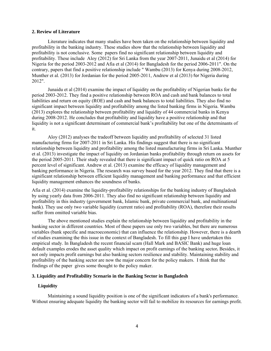## **2. Review of Literature**

 Literature indicates that many studies have been taken on the relationship between liquidity and profitability in the banking industry. These studies show that the relationship between liquidity and profitability is not conclusive. Some papers find no significant relationship between liquidity and profitability. These include Aloy (2012) for Sri Lanka from the year 2007-2011, Junaidu et al (2014) for Nigeria for the period 2003-2012 and Afia et al (2014) for Bangladesh for the period 2006-2011". On the contrary, papers that find a positive relationship include " Wambu (2013) for Kenya during 2008-2012, Munther et al. (2013) for Jordanian for the period 2005-2011, Andrew et al (2013) for Nigeria during 2012".

 Junaidu et al (2014) examine the impact of liquidity on the profitability of Nigerian banks for the period 2003-2012. They find a positive relationship between ROA and cash and bank balances to total liabilities and return on equity (ROE) and cash and bank balances to total liabilities. They also find no significant impact between liquidity and profitability among the listed banking firms in Nigeria. Wambu (2013) explores the relationship between profitability and liquidity of 44 commercial banks in Kenya during 2008-2012. He concludes that profitability and liquidity have a positive relationship and that liquidity is not a significant determinant of commercial bank's profitability but one of the determinants of it.

 Aloy (2012) analyses the tradeoff between liquidity and profitability of selected 31 listed manufacturing firms for 2007-2011 in Sri Lanka. His findings suggest that there is no significant relationship between liquidity and profitability among the listed manufacturing firms in Sri Lanka. Munther et al. (2013) investigate the impact of liquidity on Jordanian banks profitability through return on assets for the period 2005-2011. Their study revealed that there is significant impact of quick ratio on ROA at 5 percent level of significant. Andrew et al. (2013) examine the efficacy of liquidity management and banking performance in Nigeria. The research was survey based for the year 2012. They find that there is a significant relationship between efficient liquidity management and banking performance and that efficient liquidity management enhances the soundness of banks.

Afia et al. (2014) examine the liquidity-profitability relationships for the banking industry of Bangladesh by using yearly data from 2006-2011. They also find no significant relationship between liquidity and profitability in this industry (government bank, Islamic bank, private commercial bank, and multinational bank). They use only two variable liquidity (current ratio) and profitability (ROA), therefore their results suffer from omitted variable bias.

 The above mentioned studies explain the relationship between liquidity and profitability in the banking sector in different countries. Most of these papers use only two variables, but there are numerous variables (bank specific and macroeconomic) that can influence the relationship. However, there is a dearth of studies examining the this issue in the context of Bangladesh. To fill this gap I have undertaken this empirical study. In Bangladesh the recent financial scam (Hall Mark and BASIC Bank) and huge loan default examples erodes the asset quality which impact on profit earnings of the banking sector**.** Besides, it not only impacts profit earnings but also banking sectors resilience and stability. Maintaining stability and profitability of the banking sector are now the major concern for the policy makers. I think that the findings of the paper gives some thought to the policy maker.

## **3. Liquidity and Profitability Scenario in the Banking Sector in Bangladesh**

## **Liquidity**

 Maintaining a sound liquidity position is one of the significant indicators of a bank's performance. Without ensuring adequate liquidity the banking sector will fail to mobilize its resources for earnings profit.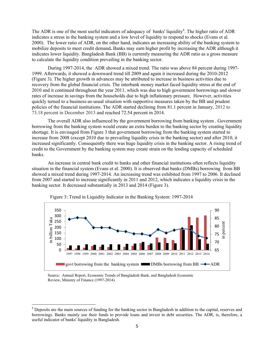The ADR is one of the most useful indicators of adequacy of banks' liquidity<sup>4</sup>. The higher ratio of ADR indicates a stress in the banking system and a low level of liquidity to respond to shocks (Evans et al. 2000). The lower ratio of ADR, on the other hand, indicates an increasing ability of the banking system to mobilize deposits to meet credit demand**.** Banks may earn higher profit by increasing the ADR although it indicates lower liquidity. Bangladesh Bank (BB) is currently measuring the ADR ratio as a gross measure to calculate the liquidity condition prevailing in the banking sector.

 During 1997-2014, the ADR showed a mixed trend. The ratio was above 84 percent during 1997- 1999. Afterwards, it showed a downward trend till 2009 and again it increased during the 2010-2012 (Figure 3). The higher growth in advances may be attributed to increase in business activities due to recovery from the global financial crisis. The interbank money market faced liquidity stress at the end of 2010 and it continued throughout the year 2011, which was due to high government borrowings and slower rates of increase in savings from the households due to high inflationary pressure. However, activities quickly turned to a business-as-usual situation with supportive measures taken by the BB and prudent policies of the financial institutions. The ADR started declining from 81.1 percent in January, 2012 to 73.18 percent in December 2013 and reached 72.54 percent in 2014.

 The overall ADR also influenced by the government borrowing from banking system . Government borrowing from the banking system would create an extra burden to the banking sector by creating liquidity shortage. It is envisaged from Figure 3 that government borrowing from the banking system started to increase from 2008 (except 2010 due to prevailing liquidity crisis in the banking sector) and after 2010, it increased significantly. Consequently there was huge liquidity crisis in the banking sector. A rising trend of credit to the Government by the banking system may create strain on the lending capacity of scheduled banks.

 An increase in central bank credit to banks and other financial institutions often reflects liquidity situation in the financial system (Evans et al. 2000). It is observed that banks (DMBs) borrowing from BB showed a mixed trend during 1997-2014. An increasing trend was exhibited from 1997 to 2006. It declined from 2007 and started to increase significantly in 2011 and 2012, which indicates a liquidity crisis in the banking sector. It decreased substantially in 2013 and 2014 (Figure 3).





 Source: Annual Report, Economic Trends of Bangladesh Bank, and Bangladesh Economic Review, Ministry of Finance (1997-2014).

 $\overline{\phantom{a}}$ 

<sup>&</sup>lt;sup>4</sup> Deposits are the main sources of funding for the banking sector in Bangladesh in addition to the capital, reserves and borrowings. Banks mainly use their funds to provide loans and invest in debt securities. The ADR, is, therefore, a useful indicator of banks' liquidity in Bangladesh.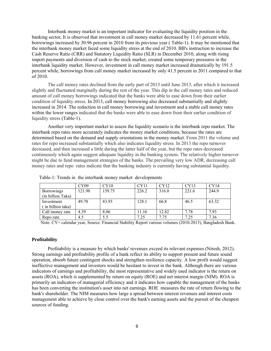Interbank money market is an important indicator for evaluating the liquidity position in the banking sector**.** It is observed that investment in call money market decreased by 11.61 percent while, borrowings increased by 30.96 percent in 2010 from its previous year ( Table-1). It may be mentioned that the interbank money market faced some liquidity stress at the end of 2010. BB's instruction to increase the Cash Reserve Ratio (CRR) and Statutory Liquidity Ratio (SLR) in December 2010, along with rising import payments and diversion of cash to the stock market, created some temporary pressures in the interbank liquidity market. However, investment in call money market increased dramatically by 191.5 percent while, borrowings from call money market increased by only 41.5 percent in 2011 compared to that of 2010.

 The call money rates declined from the early part of 2013 until June 2013, after which it increased slightly and fluctuated marginally during the rest of the year. This dip in the call money rates and reduced amount of call money borrowings indicated that the banks were able to ease down from their earlier condition of liquidity stress. In 2013, call money borrowing also decreased substantially and slightly increased in 2014. The reduction in call money borrowing and investment and a stable call money rates within the lower ranges indicated that the banks were able to ease down from their earlier condition of liquidity stress (Table-1).

 Another very important market to assess the liquidity scenario is the interbank repo market. The interbank repo rates more accurately indicates the money market conditions, because the rates are determined based on the demand and supply orientations in the money market. From 2011 the volume and rates for repo increased substantially which also indicates liquidity stress. In 2013 the repo turnover decreased, and then increased a little during the latter half of the year, but the repo rates decreased continuously which again suggest adequate liquidity in the banking system. The relatively higher turnover might be due to fund management strategies of the banks. The prevailing very low ADR, decreasing call money rates and repo rates indicate that the banking industry is currently having substantial liquidity.

|                   | CY09   | CY10   | CY11  | CY12  | CY13  | CY14  |
|-------------------|--------|--------|-------|-------|-------|-------|
| <b>Borrowings</b> | 121.98 | 159.75 | 226.2 | 316.0 | 221.6 | 244.9 |
| (in billion Taka) |        |        |       |       |       |       |
| Investment        | 49.70  | 43.93  | 128.1 | 66.8  | 46.5  | 63.32 |
| (in billion taka) |        |        |       |       |       |       |
| Call money rate   | 4.39   | 8.06   | 11.16 | 12.82 | 7.78  | 7.93  |
| Repo rate         | 4.5    | 5.5    | 7.25  | 7.75  | 7.25  | 7.36  |

Table-1: Trends in the interbank money market developments

Note: CY= calendar year, Source: Financial Stability Report various volumes (2010-2015), Bangladesh Bank.

#### **Profitability**

 Profitability is a measure by which banks' revenues exceed its relevant expenses (Niresh, 2012). Strong earnings and profitability profile of a bank reflect its ability to support present and future sound operation, absorb future contingent shocks and strengthen resilience capacity. A low profit would suggest ineffective management and investors would be hesitant to invest in the bank. Although there are various indicators of earnings and profitability, the most representative and widely used indicator is the return on assets (ROA), which is supplemented by return on equity (ROE) and net interest margin (NIM). ROA is primarily an indicators of managerial efficiency and it indicates how capable the management of the banks has been converting the institution's asset into net earnings. ROE measures the rate of return flowing to the bank's shareholder. The NIM measures how large a spread between interest revenues and interest costs management able to achieve by close control over the bank's earning assets and the pursuit of the cheapest sources of funding.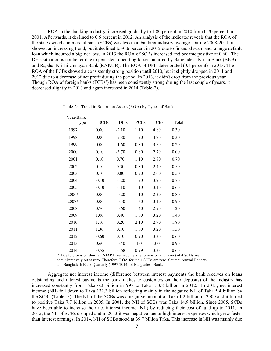ROA in the banking industry increased gradually to 1.80 percent in 2010 from 0.70 percent in 2001. Afterwards, it declined to 0.6 percent in 2012. An analysis of the indicator reveals that the ROA of the state owned commercial bank (SCBs) was less than banking industry average. During 2008-2011, it showed an increasing trend, but it declined to -0.6 percent in 2012 due to financial scam and a huge default loan which incurred a big net loss. In 2013 the ROA of SCBs increased and became positive at 0.60. The DFIs situation is not better due to persistent operating losses incurred by Bangladesh Krishi Bank (BKB) and Rajshai Krishi Unnayan Bank (RAKUB). The ROA of DFIs deteriorated (0.4 percent) in 2013. The ROA of the PCBs showed a consistently strong position until 2010, but it slightly dropped in 2011 and 2012 due to a decrease of net profit during the period. In 2013, it didn't drop from the previous year. Though ROA of foreign banks (FCBs') has been consistently strong during the last couple of years, it decreased slightly in 2013 and again increased in 2014 (Table-2).

| Year/Bank   |             |             |             |      |       |
|-------------|-------------|-------------|-------------|------|-------|
| <b>Type</b> | <b>SCBs</b> | <b>DFIs</b> | <b>PCBs</b> | FCBs | Total |
| 1997        | 0.00        | $-2.10$     | 1.10        | 4.80 | 0.30  |
| 1998        | 0.00        | $-2.80$     | 1.20        | 4.70 | 0.30  |
| 1999        | 0.00        | $-1.60$     | 0.80        | 3.50 | 0.20  |
| 2000        | 0.10        | $-3.70$     | 0.80        | 2.70 | 0.00  |
| 2001        | 0.10        | 0.70        | 1.10        | 2.80 | 0.70  |
| 2002        | 0.10        | 0.30        | 0.80        | 2.40 | 0.50  |
| 2003        | 0.10        | 0.00        | 0.70        | 2.60 | 0.50  |
| 2004        | $-0.10$     | $-0.20$     | 1.20        | 3.20 | 0.70  |
| 2005        | $-0.10$     | $-0.10$     | 1.10        | 3.10 | 0.60  |
| 2006*       | 0.00        | $-0.20$     | 1.10        | 2.20 | 0.80  |
| 2007*       | 0.00        | $-0.30$     | 1.30        | 3.10 | 0.90  |
| 2008        | 0.70        | $-0.60$     | 1.40        | 2.90 | 1.20  |
| 2009        | 1.00        | 0.40        | 1.60        | 3.20 | 1.40  |
| 2010        | 1.10        | 0.20        | 2.10        | 2.90 | 1.80  |
| 2011        | 1.30        | 0.10        | 1.60        | 3.20 | 1.50  |
| 2012        | $-0.60$     | 0.10        | 0.90        | 3.30 | 0.60  |
| 2013        | 0.60        | $-0.40$     | 1.0         | 3.0  | 0.90  |
| 2014        | $-0.55$     | $-0.68$     | 0.99        | 3.38 | 0.60  |

Table-2: Trend in Return on Assets (ROA) by Types of Banks

Due to provision shortfall NIAPT (net income after provision and taxes) of 4 SCBs are administratively set at zero. Therefore, ROA for the 4 SCBs are zero. Source: Annual Reports and Bangladesh Bank Quarterly (1997-2014) of Bangladesh Bank.

 Aggregate net interest income (difference between interest payments the bank receives on loans outstanding and interest payments the bank makes to customers on their deposits) of the industry has increased constantly from Taka 6.3 billion in1997 to Taka 153.8 billion in 2012. In 2013, net interest income (NII) fell down to Taka 132.3 billion reflecting mainly in the negative NII of Taka 5.4 billion by the SCBs (Table -3). The NII of the SCBs was a negative amount of Taka 1.2 billion in 2000 and it turned to positive Taka 7.7 billion in 2005. In 2001, the NII of SCBs was Taka 14.9 billion. Since 2005, SCBs have been able to increase their net interest income (NII) by reducing their cost of fund up to 2011. In 2012, the NII of SCBs dropped and in 2013 it was negative due to high interest expenses which grew faster than interest earnings. In 2014, NII of SCBs stood at 39.7 billion Taka. This increase in NII was mainly due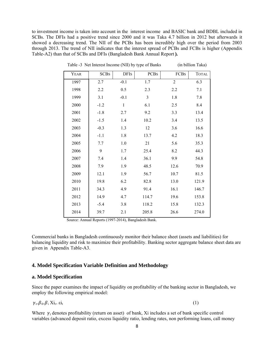to investment income is taken into account in the interest income and BASIC bank and BDBL included in SCBs. The DFIs had a positive trend since 2000 and it was Taka 4.7 billion in 2012 but afterwards it showed a decreasing trend. The NII of the PCBs has been incredibly high over the period from 2003 through 2013. The trend of NII indicates that the interest spread of PCBs and FCBs is higher (Appendix Table-A2) than that of SCBs and DFIs (Bangladesh Bank Annual Report **).** 

| YEAR | <b>SCBS</b> | <b>DFIS</b>  | <b>PCBS</b> | FCBS           | <b>TOTAL</b> |
|------|-------------|--------------|-------------|----------------|--------------|
| 1997 | 2.7         | $-0.1$       | 1.7         | $\overline{2}$ | 6.3          |
| 1998 | 2.2         | 0.5          | 2.3         | 2.2            | 7.1          |
| 1999 | 3.1         | $-0.1$       | 3           | 1.8            | 7.8          |
| 2000 | $-1.2$      | $\mathbf{1}$ | 6.1         | 2.5            | 8.4          |
| 2001 | $-1.8$      | 2.7          | 9.2         | 3.3            | 13.4         |
| 2002 | $-1.5$      | 1.4          | 10.2        | 3.4            | 13.5         |
| 2003 | $-0.3$      | 1.3          | 12          | 3.6            | 16.6         |
| 2004 | $-1.1$      | 1.8          | 13.7        | 4.2            | 18.3         |
| 2005 | 7.7         | 1.0          | 21          | 5.6            | 35.3         |
| 2006 | 9           | 1.7          | 25.4        | 8.2            | 44.3         |
| 2007 | 7.4         | 1.4          | 36.1        | 9.9            | 54.8         |
| 2008 | 7.9         | 1.9          | 48.5        | 12.6           | 70.9         |
| 2009 | 12.1        | 1.9          | 56.7        | 10.7           | 81.5         |
| 2010 | 19.8        | 6.2          | 82.8        | 13.0           | 121.9        |
| 2011 | 34.3        | 4.9          | 91.4        | 16.1           | 146.7        |
| 2012 | 14.9        | 4.7          | 114.7       | 19.6           | 153.8        |
| 2013 | $-5.4$      | 3.8          | 118.2       | 15.8           | 132.3        |
| 2014 | 39.7        | 2.1          | 205.8       | 26.6           | 274.0        |

Table -3 Net Interest Income (NII) by type of Banks (in billion Taka)

Source: Annual Reports (1997-2014), Bangladesh Bank.

Commercial banks in Bangladesh continuously monitor their balance sheet (assets and liabilities) for balancing liquidity and risk to maximize their profitability. Banking sector aggregate balance sheet data are given in Appendix Table-A3.

## **4. Model Specification Variable Definition and Methodology**

## **a. Model Specification**

Since the paper examines the impact of liquidity on profitability of the banking sector in Bangladesh, we employ the following empirical model:

$$
\gamma_{t} = \beta_{0} + \beta_{i} X i_{t} + \varepsilon i_{t} \tag{1}
$$

Where  $\gamma_t$  denotes profitability (return on asset) of bank, Xi includes a set of bank specific control variables (advanced deposit ratio, excess liquidity ratio, lending rates, non performing loans, call money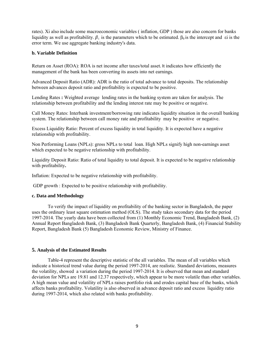rates). Xi also include some macroeconomic variables ( inflation, GDP ) those are also concern for banks liquidity as well as profitability.  $\beta_i$  is the parameters which to be estimated.  $\beta_0$  is the intercept and  $\epsilon$  is the error term. We use aggregate banking industry's data.

## **b. Variable Definition**

Return on Asset (ROA): ROA is net income after taxes/total asset. It indicates how efficiently the management of the bank has been converting its assets into net earnings.

Advanced Deposit Ratio (ADR): ADR is the ratio of total advance to total deposits. The relationship between advances deposit ratio and profitability is expected to be positive.

Lending Rates **:** Weighted average lending rates in the banking system are taken for analysis. The relationship between profitability and the lending interest rate may be positive or negative.

Call Money Rates: Interbank investment/borrowing rate indicates liquidity situation in the overall banking system. The relationship between call money rate and profitability may be positive or negative.

Excess Liquidity Ratio: Percent of excess liquidity in total liquidity. It is expected have a negative relationship with profitability.

Non Performing Loans (NPLs): gross NPLs to total loan. High NPLs signify high non-earnings asset which expected to be negative relationship with profitability.

Liquidity Deposit Ratio: Ratio of total liquidity to total deposit. It is expected to be negative relationship with profitability**.** 

Inflation: Expected to be negative relationship with profitability.

GDP growth : Expected to be positive relationship with profitability.

## **c. Data and Methodology**

 To verify the impact of liquidity on profitability of the banking sector in Bangladesh, the paper uses the ordinary least square estimation method (OLS). The study takes secondary data for the period 1997-2014. The yearly data have been collected from (1) Monthly Economic Trend, Bangladesh Bank, (2) Annual Report Bangladesh Bank, (3) Bangladesh Bank Quarterly, Bangladesh Bank, (4) Financial Stability Report, Bangladesh Bank (5) Bangladesh Economic Review, Ministry of Finance.

## **5. Analysis of the Estimated Results**

 Table-4 represent the descriptive statistic of the all variables. The mean of all variables which indicate a historical trend value during the period 1997-2014, are realistic. Standard deviations, measures the volatility, showed a variation during the period 1997-2014. It is observed that mean and standard deviation for NPLs are 19.81 and 12.37 respectively, which appear to be more volatile than other variables. A high mean value and volatility of NPLs raises portfolio risk and erodes capital base of the banks, which affects banks profitability. Volatility is also observed in advance deposit ratio and excess liquidity ratio during 1997-2014, which also related with banks profitability.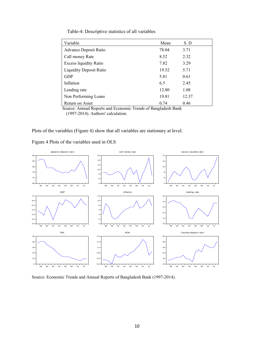|  | Table-4: Descriptive statistics of all variables |
|--|--------------------------------------------------|
|--|--------------------------------------------------|

| Variable                       | Mean  | S.D   |
|--------------------------------|-------|-------|
| <b>Advance Deposit Ratio</b>   | 78.04 | 3.71  |
| Call money Rate                | 8.52  | 2.32  |
| <b>Excess liquidity Ratio</b>  | 7.82  | 3.29  |
| <b>Liquidity Deposit Ratio</b> | 19.52 | 5.71  |
| <b>GDP</b>                     | 5.81  | 0.61  |
| Inflation                      | 6.5   | 2.45  |
| Lending rate                   | 12.80 | 1.08  |
| Non Performing Loans           | 19.81 | 12.37 |
| Return on Asset                | 0.74  | 0.46  |

 Source: Annual Reports and Economic Trends of Bangladesh Bank (1997-2014). Authors' calculation.

Plots of the variables (Figure 4) show that all variables are stationary at level.

Figure 4 Plots of the variables used in OLS



Source: Economic Trends and Annual Reports of Bangladesh Bank (1997-2014).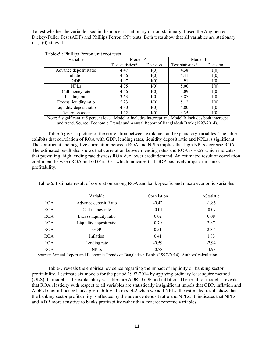To test whether the variable used in the model is stationary or non-stationary, I used the Augmented Dickey-Fuller Test (ADF) and Phillips Perron (PP) tests. Both tests show that all variables are stationary i.e.,  $I(0)$  at level.

| Variable                | Model A          |          | Model B          |          |
|-------------------------|------------------|----------|------------------|----------|
|                         | Test statistics* | Decision | Test statistics* | Decision |
| Advance deposit Ratio   | 4.47             | I(0)     | 4.38             | I(0)     |
| Inflation               | 4.56             | I(0)     | 4.41             | I(0)     |
| <b>GDP</b>              | 4.97             | I(0)     | 4.91             | I(0)     |
| <b>NPLs</b>             | 4.75             | I(0)     | 5.00             | I(0)     |
| Call money rate         | 4.46             | I(0)     | 4.09             | I(0)     |
| Lending rate            | 3.63             | I(0)     | 3.87             | I(0)     |
| Excess liquidity ratio  | 5.23             | I(0)     | 5.12             | I(0)     |
| Liquidity deposit ratio | 4.80             | I(0)     | 4.80             | I(0)     |
| Return on asset         | 4.32             | I(0)     | 4.35             | I(0)     |

|  |  |  | Table-5 : Phillips Perron unit root tests |  |
|--|--|--|-------------------------------------------|--|
|--|--|--|-------------------------------------------|--|

 Note: \* significant at 5 percent level. Model A includes intercept and Model B includes both intercept and trend. Source: Economic Trends and Annual Report of Bangladesh Bank (1997-2014).

 Table-6 gives a picture of the correlation between explained and explanatory variables. The table exhibits that correlation of ROA with GDP, lending rates, liquidity deposit ratio and NPLs is significant. The significant and negative correlation between ROA and NPLs implies that high NPLs decrease ROA. The estimated result also shows that correlation between lending rates and ROA is -0.59 which indicates that prevailing high lending rate distress ROA due lower credit demand. An estimated result of correlation coefficient between ROA and GDP is 0.51 which indicates that GDP positively impact on banks profitability.

Table-6: Estimate result of correlation among ROA and bank specific and macro economic variables

|            | Variable                | Correlation | t-Statistic |
|------------|-------------------------|-------------|-------------|
| <b>ROA</b> | Advance deposit Ratio   | $-0.42$     | $-1.86$     |
| <b>ROA</b> | Call money rate         | $-0.01$     | $-0.07$     |
| <b>ROA</b> | Excess liquidity ratio  | 0.02        | 0.08        |
| <b>ROA</b> | Liquidity deposit ratio | 0.70        | 3.87        |
| <b>ROA</b> | <b>GDP</b>              | 0.51        | 2.37        |
| <b>ROA</b> | Inflation               | 0.41        | 1.83        |
| <b>ROA</b> | Lending rate            | $-0.59$     | $-2.94$     |
| <b>ROA</b> | <b>NPLs</b>             | $-0.78$     | $-4.98$     |

Source: Annual Report and Economic Trends of Bangladesh Bank (1997-2014). Authors' calculation.

 Table-7 reveals the empirical evidence regarding the impact of liquidity on banking sector profitability. I estimate six models for the period 1997-2014 by applying ordinary least squire method (OLS). In model-1, the explanatory variables are ADR , GDP and inflation. The result of model-1 reveals that ROA elasticity with respect to all variables are statistically insignificant impels that GDP, inflation and ADR do not influence banks profitability . In model-2 when we add NPLs, the estimated result show that the banking sector profitability is affected by the advance deposit ratio and NPLs. It indicates that NPLs and ADR more sensitive to banks profitability rather than macroeconomic variables.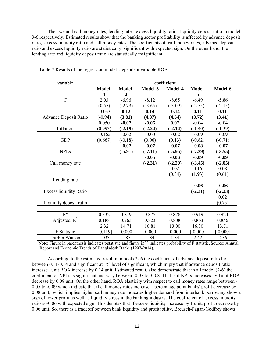Then we add call money rates, lending rates, excess liquidity ratio, liquidity deposit ratio in model-3-6 respectively. Estimated results show that the banking sector profitability is affected by advance deposit ratio, excess liquidity ratio and call money rates. The coefficients of call money rates, advance deposit ratio and excess liquidity ratio are statistically significant with expected sign. On the other hand, the lending rate and liquidity deposit ratio are statistically insignificant.

| variable                      | coefficient |           |           |           |           |           |  |
|-------------------------------|-------------|-----------|-----------|-----------|-----------|-----------|--|
|                               | Model-      | Model-    | Model-3   | Model-4   | Model-    | Model-6   |  |
|                               |             | 2         |           |           | 5         |           |  |
| $\mathcal{C}$                 | 2.03        | $-6.96$   | $-8.12$   | $-8.65$   | $-6.49$   | $-5.86$   |  |
|                               | (0.55)      | $(-2.79)$ | $(-3.65)$ | $(-3.09)$ | $(-2.55)$ | $(-2.15)$ |  |
|                               | $-0.033$    | 0.12      | 0.14      | 0.14      | 0.11      | 0.11      |  |
| <b>Advance Deposit Ratio</b>  | $(-0.94)$   | (3.81)    | (4.87)    | (4.54)    | (3.72)    | (3.41)    |  |
|                               | 0.050       | $-0.07$   | $-0.06$   | 0.07      | $-0.04$   | $-0.04$   |  |
| Inflation                     | (0.993)     | $(-2.19)$ | $(-2.24)$ | $(-2.14)$ | $(-1.40)$ | $(-1.39)$ |  |
|                               | $-0.165$    | $-0.02$   | $-0.00$   | $-0.02$   | $-0.09$   | $-0.09$   |  |
| <b>GDP</b>                    | (0.667)     | $(-0.18)$ | (0.06)    | (0.13)    | $(-0.82)$ | $(-0.71)$ |  |
|                               |             | $-0.07$   | $-0.07$   | $-0.07$   | $-0.08$   | $-0.07$   |  |
| <b>NPLs</b>                   |             | $(-5.91)$ | $(-7.11)$ | $(-5.95)$ | $(-7.39)$ | $(-3.55)$ |  |
|                               |             |           | $-0.05$   | $-0.06$   | $-0.09$   | $-0.09$   |  |
| Call money rate               |             |           | $(-2.31)$ | $(-2.20)$ | $(-3.45)$ | $(-2.05)$ |  |
|                               |             |           |           | 0.02      | 0.16      | 0.08      |  |
|                               |             |           |           | (0.34)    | (1.93)    | (0.61)    |  |
| Lending rate                  |             |           |           |           |           |           |  |
|                               |             |           |           |           | $-0.06$   | $-0.06$   |  |
| <b>Excess liquidity Ratio</b> |             |           |           |           | $(-2.31)$ | $(-2.23)$ |  |
|                               |             |           |           |           |           | 0.02      |  |
| Liquidity deposit ratio       |             |           |           |           |           | (0.75)    |  |
|                               |             |           |           |           |           |           |  |
| $R^2$                         | 0.332       | 0.819     | 0.875     | 0.876     | 0.919     | 0.924     |  |
| Adjusted $R^2$                | 0.188       | 0.763     | 0.823     | 0.808     | 0.863     | 0.856     |  |
|                               | 2.32        | 14.71     | 16.81     | 13.00     | 16.30     | 13.71     |  |
| F Statistic                   | $0.119$ ]   | 0.000]    | 0.000]    | 0.000]    | 0.000]    | 0.000]    |  |
| Durbin Watson                 | 1.033       | 1.87      | 1.84      | 1.84      | 2.42      | 2.56      |  |

Table-7 Results of the regression model: dependent variable ROA

Note: Figure in parenthesis indicates t-statistic and figure in [ ] indicates probability of F statistic. Source: Annual Report and Economic Trends of Bangladesh Bank (1997-2014).

 According to the estimated result in models 2- 6 the coefficient of advance deposit ratio lie between 0.11-0.14 and significant at 1% level of significant, which imply that if advance deposit ratio increase 1unit ROA increase by 0.14 unit. Estimated result, also demonstrate that in all model (2-6) the coefficient of NPLs is significant and vary between -0.07 to -0.08. That is if NPLs increases by 1unit ROA decrease by 0.08 unit. On the other hand, ROA elasticity with respect to call money rates range between - 0.05 to -0.09 which indicate that if call money rates increase 1 percentage point banks' profit decrease by 0.08 unit, which implies higher call money rate indicates higher demand from interbank borrowing show a sign of lower profit as well as liquidity stress in the banking industry. The coefficient of excess liquidity ratio is -0.06 with expected sign. This denotes that if excess liquidity increase by 1 unit, profit decrease by 0.06 unit. So, there is a tradeoff between bank liquidity and profitability. Breusch-Pagan-Godfrey shows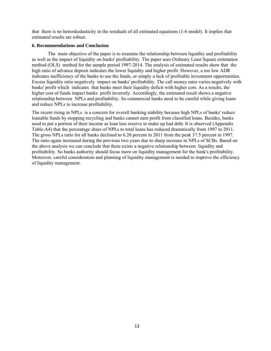that there is no hetroskedasticity in the residuals of all estimated equations (1-6 model). It implies that estimated results are robust.

## **6. Recommendations and Conclusion**

The main objective of the paper is to examine the relationship between liquidity and profitability as well as the impact of liquidity on banks' profitability. The paper uses Ordinary Least Square estimation method (OLS) method for the sample period 1997-2014. The analysis of estimated results show that the high ratio of advance deposit indicates the lower liquidity and higher profit. However, a too low ADR indicates inefficiency of the banks to use the funds, or simply a lack of profitable investment opportunities. Excess liquidity ratio negatively impact on banks' profitability. The call money rates varies negatively with banks' profit which indicates that banks meet their liquidity deficit with higher cost. As a results, the higher cost of funds impact banks profit inversely. Accordingly, the estimated result shows a negative relationship between NPLs and profitability. So commercial banks need to be careful while giving loans and reduce NPLs to increase profitability.

The recent rising in NPLs is a concern for overall banking stability because high NPLs of banks' reduce loanable funds by stopping recycling and banks cannot earn profit from classified loans. Besides, banks need to put a portion of their income as loan loss reserve to make up bad debt. It is observed (Appendix Table-A4) that the percentage share of NPLs to total loans has reduced dramatically from 1997 to 2011. The gross NPLs ratio for all banks declined to 6.20 percent in 2011 from the peak 37.5 percent in 1997. The ratio again increased during the previous two years due to sharp increase in NPLs of SCBs. Based on the above analysis we can conclude that there exists a negative relationship between liquidity and profitability. So banks authority should focus more on liquidity management for the bank's profitability. Moreover, careful consideration and planning of liquidity management is needed to improve the efficiency of liquidity management.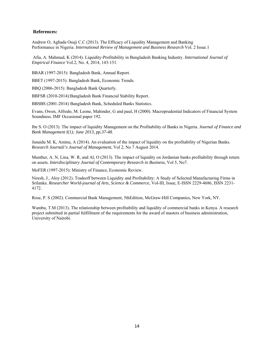## **References:**

Andrew O, Agbada Osuji C.C (2013). The Efficacy of Liquidity Management and Banking Performance in Nigeria. *International Review of Management and Business Research* Vol. 2 Issue.1

 Afia, A. Mahmud, K (2014). Liquidity-Profitability in Bangladesh Banking Industry. *International Journal of Empirical Finance* Vol.2, No. 4, 2014, 143-151.

BBAR (1997-2015): Bangladesh Bank, Annual Report.

BBET (1997-2015): Bangladesh Bank, Economic Trends.

BBQ (2006-2015): Bangladesh Bank Quarterly.

BBFSR (2010-2014):Bangladesh Bank Financial Stability Report.

BBSBS (2001-2014) Bangladesh Bank, Scheduled Banks Statistics.

Evans, Owen, Alfredo, M. Leone, Mahinder, G and paul, H (2000). Macroprudential Indicators of Financial System Soundness. IMF Occasional paper 192.

Ibe S. O (2013). The impact of liquidity Management on the Profitability of Banks in Nigeria. *Journal of Finance and Bank Management I(1); June 2013, pp.37-48.* 

Junaidu M. K, Aminu, A (2014). An evaluation of the impact of liquidity on the profitability of Nigerian Banks. *Research Journali's Journal of Management*, Vol 2, No 7 August 2014.

Munther, A. N, Lina, W. R, and Al, O (2013). The impact of liquidity on Jordanian banks profitability through return on assets. *Interdisciplinary Journal of Contemporary Research in Business*, Vol 5, No7.

MoFER (1997-2015): Ministry of Finance, Economic Review.

Niresh, J., Aloy (2012). Tradeoff between Liquidity and Profitability: A Study of Selected Manufacturing Firms in Srilanka. *Researcher World-journal of Arts, Science & Commerce,* Vol-III, Issue, E-ISSN 2229-4686, ISSN 2231- 4172.

Rose, P. S (2002). Commercial Bank Management, 5thEdition, McGraw-Hill Companies, New York, NY.

Wambu, T.M (2013). The relationship between profitability and liquidity of commercial banks in Kenya. A research project submitted in partial fulfillment of the requirements for the award of masters of business administration, University of Nairobi.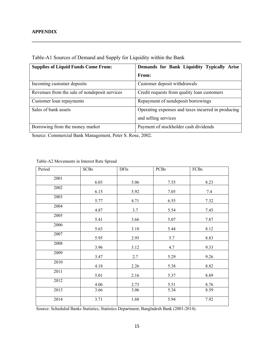| <b>Supplies of Liquid Funds Come From:</b>    | Demands for Bank Liquidity Typically Arise         |
|-----------------------------------------------|----------------------------------------------------|
|                                               | From:                                              |
| Incoming customer deposits                    | Customer deposit withdrawals                       |
| Revenues from the sale of nondeposit services | Credit requests from quality loan customers        |
| Customer loan repayments                      | Repayment of nondeposit borrowings                 |
| Sales of bank assets                          | Operating expenses and taxes incurred in producing |
|                                               | and selling services                               |
| Borrowing from the money market               | Payment of stockholder cash dividends              |

**\_\_\_\_\_\_\_\_\_\_\_\_\_\_\_\_\_\_\_\_\_\_\_\_\_\_\_\_\_\_\_\_\_\_\_\_\_\_\_\_\_\_\_\_\_\_\_\_\_\_\_\_\_\_\_\_\_\_\_\_\_\_\_\_\_\_\_\_\_\_\_\_\_\_\_\_\_\_\_\_\_\_\_\_\_\_** 

Table-A1 Sources of Demand and Supply for Liquidity within the Bank

Source: Commercial Bank Management, Peter S. Rose, 2002.

| Period | <b>SCBs</b> | <b>DFIs</b> | <b>PCBs</b> | FCBs |
|--------|-------------|-------------|-------------|------|
| 2001   | 6.03        | 5.06        | 7.55        | 8.23 |
| 2002   | 6.15        | 5.92        | 7.05        | 7.4  |
| 2003   | 5.77        | 4.71        | 6.55        | 7.32 |
| 2004   | 4.87        | 3.7         | 5.54        | 7.45 |
| 2005   | 5.41        | 3.66        | 5.07        | 7.87 |
| 2006   | 5.63        | 3.18        | 5.44        | 8.12 |
| 2007   | 5.95        | 2.95        | 5.7         | 8.83 |
| 2008   | 3.96        | 3.12        | 4.7         | 9.33 |
| 2009   | 3.47        | 2.7         | 5.29        | 9.26 |
| 2010   | 4.18        | 2.26        | 5.38        | 8.82 |
| 2011   | 5.01        | 2.16        | 5.37        | 8.89 |
| 2012   | 4.06        | 2.73        | 5.51        | 8.76 |
| 2013   | 3.66        | 3.06        | 5.34        | 8.59 |
| 2014   | 3.71        | 1.68        | 5.94        | 7.92 |

Table-A2 Movements in Interest Rate Spread

Source: Scheduled Banks Statistics, Statistics Department, Bangladesh Bank (2001-2014).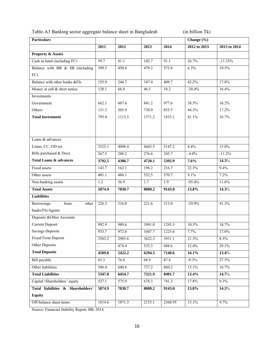Table-A3 Banking sector aggregate balance sheet in Bangladesh (in billion Tk)

| <b>Particulars</b>                 |                   |        |        |                   | Change (%)   |              |
|------------------------------------|-------------------|--------|--------|-------------------|--------------|--------------|
|                                    | 2011              | 2012   | 2013   | 2014              | 2012 to 2013 | 2013 to 2014 |
| <b>Property &amp; Assets</b>       |                   |        |        |                   |              |              |
| Cash in hand (including FC)        | $\overline{59.7}$ | 81.1   | 102.7  | 91.1              | 26.7%        | $-11.33%$    |
| Balance with BB & SB (including    | 399.5             | 450.8  | 479.3  | 572.8             | 6.3%         | 19.5%        |
| FC)                                |                   |        |        |                   |              |              |
| Balance with other banks &FIs      | 155.9             | 244.7  | 347.9  | 409.7             | 42.2%        | 17.8%        |
| Money at call & short notice       | 128.1             | 66.8   | 46.5   | $\overline{54.2}$ | $-30.4%$     | 16.4%        |
| Investments                        |                   |        |        |                   |              |              |
| Government                         | 662.1             | 607.6  | 841.2  | 977.6             | 38.5%        | 16.2%        |
| Others                             | 131.3             | 505.9  | 730.0  | 855.5             | 44.3%        | 17.2%        |
| <b>Total Investment</b>            | 793.4             | 1113.5 | 1571.2 | 1833.1            | 41.1%        | 16.7%        |
|                                    |                   |        |        |                   |              |              |
|                                    |                   |        |        |                   |              |              |
| Loans & advances                   |                   |        |        |                   |              |              |
| Loans, CC, OD ect.                 | 3525.1            | 4098.4 | 4443.5 | 5147.2            | 8.4%         | 15.8%        |
| Bills purchased & Disct.           | 267.5             | 288.2  | 276.6  | 245.7             | $-4.0%$      | $-11.2%$     |
| <b>Total Loans &amp; advances</b>  | 3792.5            | 4386.7 | 4720.1 | 5392.9            | 7.6%         | 14.3%        |
| Fixed assets                       | 143.7             | 162.1  | 198.2  | 216.7             | 22.3%        | 9.4%         |
| Other assets                       | 401.1             | 488.1  | 532.5  | 570.7             | 9.1%         | 7.2%         |
| Non-banking assets                 | 1.2               | 36.9   | 1.7    | 1.9               | $-95.4%$     | 11.6%        |
| <b>Total Assets</b>                | 5874.9            | 7030.7 | 8000.2 | 9143.0            | 13.8%        | 14.3%        |
| <b>Liabilities</b>                 |                   |        |        |                   |              |              |
| from<br><b>Borrowings</b><br>other | 226.3             | 316.0  | 221.6  | 313.0             | $-29.9%$     | 41.3%        |
| banks/FIs/Agents                   |                   |        |        |                   |              |              |
| Deposits & Other Accounts          |                   |        |        |                   |              |              |
| <b>Current Deposit</b>             | 992.9             | 989.6  | 1091.0 | 1295.3            | 10.3%        | 18.7%        |
| <b>Savings Deposits</b>            | 933.7             | 972.6  | 1047.7 | 1225.6            | 7.7%         | 17.0%        |
| Fixed/Term Deposit                 | 2583.2            | 2985.6 | 3622.3 | 3931.1            | 21.3%        | 8.5%         |
| Other Deposits                     | $\overline{a}$    | 474.4  | 533.3  | 688.6             | 12.4%        | 29.1%        |
| <b>Total Deposits</b>              | 4509.8            | 5422.2 | 6294.3 | 7140.6            | 16.1%        | 13.4%        |
| Bill payable                       | 65.3              | 76.0   | 68.9   | 87.8              | $-9.3%$      | 27.5%        |
| Other liabilities                  | 546.4             | 640.6  | 737.2  | 860.2             | 15.1%        | 16.7%        |
| <b>Total Liabilities</b>           | 5347.8            | 6454.7 | 7321.9 | 8401.7            | 13.4%        | 14.7%        |
| Capital /Shareholders' equity      | 527.1             | 575.9  | 678.3  | 741.3             | 17.8%        | 9.3%         |
| Total liabilities & Shareholders'  | 5874.9            | 7030.7 | 8000.2 | 9143.0            | 13.8%        | 14.3%        |
| <b>Equity</b>                      |                   |        |        |                   |              |              |
| Off-balance sheet items            | 1814.6            | 1871.3 | 2153.1 | 2360.95           | 15.1%        | 9.7%         |

Source: Financial Stability Report, BB, 2014.